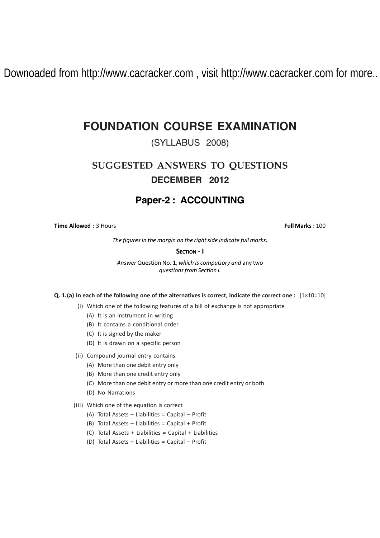# **FOUNDATION COURSE EXAMINATION**

### (SYLLABUS 2008)

# **SUGGESTED ANSWERS TO QUESTIONS DECEMBER 2012**

### **Paper-2 : ACCOUNTING**

**Time Allowed :** 3 Hours **Full Marks :** 100

*The figures in the margin on the right side indicate full marks.*

### **SECTION - I**

*Answer* Question No. 1, *which is compulsory and* any two *questions from Section I.*

**Q. 1.(a) In each of the following one of the alternatives is correct, indicate the correct one :** [1×10=10]

- (i) Which one of the following features of a bill of exchange is not appropriate
	- (A) It is an instrument in writing
	- (B) It contains a conditional order
	- (C) It is signed by the maker
	- (D) It is drawn on a specific person
- (ii) Compound journal entry contains
	- (A) More than one debit entry only
	- (B) More than one credit entry only
	- (C) More than one debit entry or more than one credit entry or both
	- (D) No Narrations
- (iii) Which one of the equation is correct
	- (A) Total Assets Liabilities = Capital Profit
	- (B) Total Assets Liabilities = Capital + Profit
	- (C) Total Assets + Liabilities = Capital + Liabilities
	- (D) Total Assets + Liabilities = Capital Profit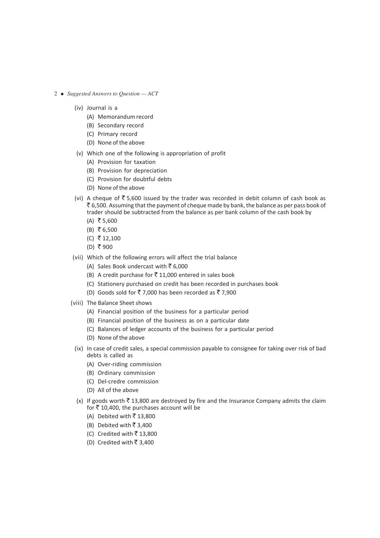- 2 *Suggested Answers to Question ACT*
	- (iv) Journal is a
		- (A) Memorandum record
		- (B) Secondary record
		- (C) Primary record
		- (D) None of the above
	- (v) Which one of the following is appropriation of profit
		- (A) Provision for taxation
		- (B) Provision for depreciation
		- (C) Provision for doubtful debts
		- (D) None of the above
	- (vi) A cheque of  $\overline{5}$  5,600 issued by the trader was recorded in debit column of cash book as  $\bar{\tau}$  6,500. Assuming that the payment of cheque made by bank, the balance as per pass book of trader should be subtracted from the balance as per bank column of the cash book by
		- $(A)$  ₹ 5,600
		- $(B)$  ₹ 6,500
		- $(C)$  ₹ 12,100
		- $(D)$  ₹ 900
	- (vii) Which of the following errors will affect the trial balance
		- (A) Sales Book undercast with  $\bar{\tau}$  6,000
		- (B) A credit purchase for  $\overline{5}$  11,000 entered in sales book
		- (C) Stationery purchased on credit has been recorded in purchases book
		- (D) Goods sold for  $\overline{5}$  7,000 has been recorded as  $\overline{5}$  7,900
	- (viii) The Balance Sheet shows
		- (A) Financial position of the business for a particular period
		- (B) Financial position of the business as on a particular date
		- (C) Balances of ledger accounts of the business for a particular period
		- (D) None of the above
		- (ix) In case of credit sales, a special commission payable to consignee for taking over risk of bad debts is called as
			- (A) Over-riding commission
			- (B) Ordinary commission
			- (C) Del-credre commission
			- (D) All of the above
		- (x) If goods worth  $\bar{z}$  13,800 are destroyed by fire and the Insurance Company admits the claim for  $\bar{z}$  10,400, the purchases account will be
			- (A) Debited with  $\bar{z}$  13,800
			- (B) Debited with  $\bar{z}$  3,400
			- (C) Credited with  $\overline{5}$  13,800
			- (D) Credited with  $\bar{\tau}$  3,400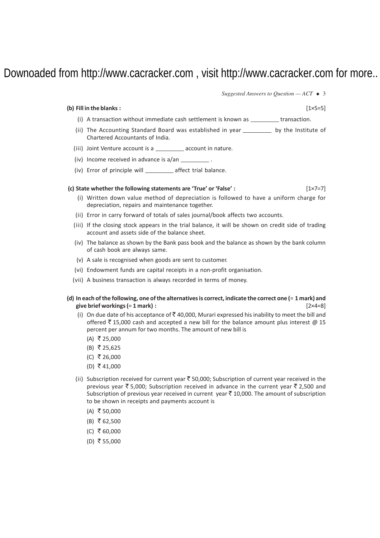*Suggested Answers to Question — ACT*  $\triangleleft$  3

| (b) Fill in the blanks :                                                                                            | $[1 \times 5 = 5]$  |
|---------------------------------------------------------------------------------------------------------------------|---------------------|
| (i) A transaction without immediate cash settlement is known as                                                     | transaction.        |
| (ii) The Accounting Standard Board was established in year _____________________<br>Chartered Accountants of India. | by the Institute of |
| (iii) Joint Venture account is a<br>account in nature.                                                              |                     |

(iv) Income received in advance is a/an .

(iv) Error of principle will \_\_\_\_\_\_\_\_\_\_ affect trial balance.

### **(c) State whether the following statements are 'True' or 'False' :** [1×7=7]

- (i) Written down value method of depreciation is followed to have a uniform charge for depreciation, repairs and maintenance together.
- (ii) Error in carry forward of totals of sales journal/book affects two accounts.
- (iii) If the closing stock appears in the trial balance, it will be shown on credit side of trading account and assets side of the balance sheet.
- (iv) The balance as shown by the Bank pass book and the balance as shown by the bank column of cash book are always same.
- (v) A sale is recognised when goods are sent to customer.
- (vi) Endowment funds are capital receipts in a non-profit organisation.
- (vii) A business transaction is always recorded in terms of money.

### **(d) In each of the following, one of the alternatives is correct, indicate the correct one (**= **1 mark) and** give brief workings (= 1 mark) :

- (i) On due date of his acceptance of  $\bar{\tau}$  40,000, Murari expressed his inability to meet the bill and offered  $\bar{\tau}$  15,000 cash and accepted a new bill for the balance amount plus interest @ 15 percent per annum for two months. The amount of new bill is
	- $(A)$  ₹ 25,000
	- (B) ₹ 25,625
	- $(C)$  ₹ 26,000
	- $(D)$  ₹ 41,000
- (ii) Subscription received for current year  $\overline{5}$  50,000; Subscription of current year received in the previous year  $\bar{\xi}$  5,000; Subscription received in advance in the current year  $\bar{\xi}$  2,500 and Subscription of previous year received in current year  $\bar{\tau}$  10,000. The amount of subscription to be shown in receipts and payments account is
	- $(A)$  ₹ 50,000
	- $(B)$  ₹ 62,500
	- $(C)$  ₹ 60,000
	- $(D)$  ₹ 55,000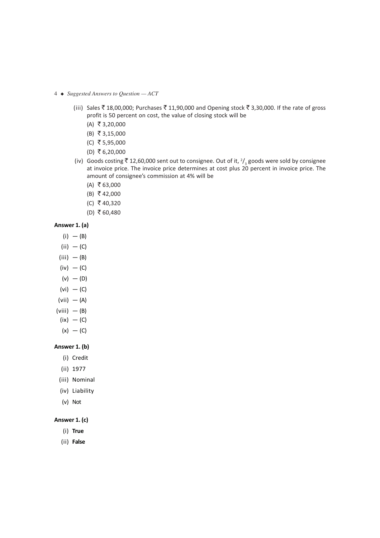- 4 *Suggested Answers to Question ACT*
	- (iii) Sales ₹18,00,000; Purchases ₹11,90,000 and Opening stock ₹3,30,000. If the rate of gross profit is 50 percent on cost, the value of closing stock will be
		- $(A)$  ₹ 3,20,000
		- $(B)$  ₹ 3,15,000
		- $(C)$  ₹ 5,95,000
		- $(D)$  ₹ 6,20,000
	- (iv) Goods costing  $\bar{\mathfrak{X}}$  12,60,000 sent out to consignee. Out of it,  $^2\prime_3$  goods were sold by consignee at invoice price. The invoice price determines at cost plus 20 percent in invoice price. The amount of consignee's commission at 4% will be
		- $(A)$  ₹ 63,000
		- $(B)$  ₹ 42,000
		- $(C)$  ₹ 40,320
		- $(D)$  ₹ 60,480

### **Answer 1. (a)**

- $(i) (B)$
- $(ii) (C)$
- $(iii) (B)$
- $(iv) (C)$
- $(v) (D)$
- $(vi) (C)$
- $(vii) (A)$
- $(viii) (B)$
- $(ix) (C)$
- $(x) (C)$

### **Answer 1. (b)**

- (i) Credit
- (ii) 1977
- (iii) Nominal
- (iv) Liability
- (v) Not

### **Answer 1. (c)**

- (i) **True**
- (ii) **False**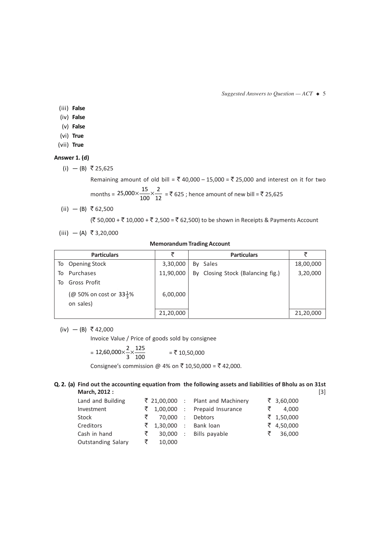*Suggested Answers to Question*  $-$  *ACT*  $\triangleleft$  5

- (iii) **False**
- (iv) **False**
- (v) **False**
- (vi) **True**
- (vii) **True**

### **Answer 1. (d)**

- (i) − (B) ₹ 25,625
	- Remaining amount of old bill = ₹ 40,000 15,000 = ₹ 25,000 and interest on it for two months =  $25,000 \times \frac{15}{100} \times \frac{2}{12}$ 25,000× $\frac{15}{100}$ × $\frac{2}{12}$  = ₹ 625 ; hence amount of new bill = ₹ 25,625
- (ii) (B) ₹62,500

(₹ 50,000 + ₹ 10,000 + ₹ 2,500 = ₹ 62,500) to be shown in Receipts & Payments Account

(iii) — (A) ₹ 3,20,000

### **Memorandum Trading Account**

|    | <b>Particulars</b>                                | ₹         | <b>Particulars</b>                |           |
|----|---------------------------------------------------|-----------|-----------------------------------|-----------|
|    | To Opening Stock                                  | 3,30,000  | By Sales                          | 18,00,000 |
| To | Purchases                                         | 11,90,000 | By Closing Stock (Balancing fig.) | 3,20,000  |
| To | Gross Profit                                      |           |                                   |           |
|    | (@ 50% on cost or $33\frac{1}{3}$ %)<br>on sales) | 6,00,000  |                                   |           |
|    |                                                   | 21,20,000 |                                   | 21,20,000 |

(iv) − (B)  $\bar{z}$  42,000

Invoice Value / Price of goods sold by consignee

$$
= 12,60,000 \times \frac{2}{3} \times \frac{125}{100} = ₹ 10,50,000
$$

Consignee's commission @ 4% on ₹ 10,50,000 = ₹ 42,000.

### **Q. 2. (a) Find out the accounting equation from the following assets and liabilities of Bholu as on 31st March, 2012 :** [3]

| Land and Building         |   |                    | ₹ 21,00,000 : Plant and Machinery       | ₹ 3,60,000 |
|---------------------------|---|--------------------|-----------------------------------------|------------|
| Investment                |   |                    | ₹ 1,00,000 : Prepaid Insurance          | ₹ 4.000    |
| Stock                     |   | ₹ 70,000 : Debtors |                                         | ₹ 1,50,000 |
| Creditors                 |   |                    | ₹ 1,30,000 : Bank loan                  | ₹ 4,50,000 |
| Cash in hand              |   |                    | $\overline{\xi}$ 30,000 : Bills payable | ₹ 36,000   |
| <b>Outstanding Salary</b> | ₹ | 10,000             |                                         |            |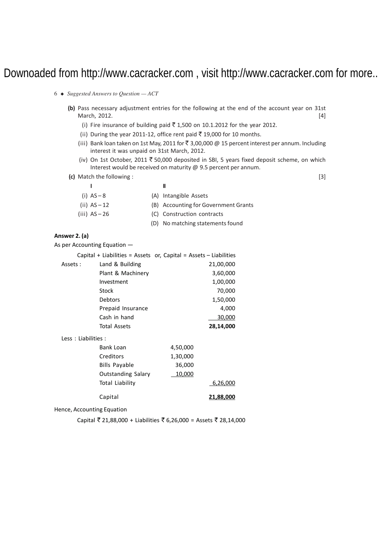- 6 *Suggested Answers to Question ACT*
	- **(b)** Pass necessary adjustment entries for the following at the end of the account year on 31st March, 2012. [4]
		- (i) Fire insurance of building paid  $\overline{5}$  1,500 on 10.1.2012 for the year 2012.
		- (ii) During the year 2011-12, office rent paid  $\bar{z}$  19,000 for 10 months.
		- (iii) Bank loan taken on 1st May, 2011 for  $\overline{\mathfrak{C}}$  3,00,000 @ 15 percent interest per annum. Including interest it was unpaid on 31st March, 2012.
		- (iv) On 1st October, 2011  $\bar{z}$  50,000 deposited in SBI, 5 years fixed deposit scheme, on which Interest would be received on maturity @ 9.5 percent per annum.
	- **(c)** Match the following : [3]

| ı | II |
|---|----|
|   | -- |

(i) AS – 8 (A) Intangible Assets (ii) AS – 12 (B) Accounting for Government Grants (iii) AS – 26 (C) Construction contracts (D) No matching statements found

### **Answer 2. (a)**

As per Accounting Equation —

|                    | Capital $+$ Liabilities = Assets or, Capital = Assets $-$ Liabilities |          |           |
|--------------------|-----------------------------------------------------------------------|----------|-----------|
| Assets :           | Land & Building                                                       |          | 21,00,000 |
|                    | Plant & Machinery                                                     |          | 3,60,000  |
|                    | Investment                                                            |          | 1,00,000  |
|                    | Stock                                                                 |          | 70,000    |
|                    | <b>Debtors</b>                                                        |          | 1,50,000  |
|                    | Prepaid Insurance                                                     |          | 4,000     |
|                    | Cash in hand                                                          |          | 30,000    |
|                    | <b>Total Assets</b>                                                   |          | 28,14,000 |
| Less: Liabilities: |                                                                       |          |           |
|                    | Bank Loan                                                             | 4,50,000 |           |
|                    | Creditors                                                             | 1,30,000 |           |
|                    | <b>Bills Payable</b>                                                  | 36,000   |           |
|                    | Outstanding Salary                                                    | 10,000   |           |
|                    | Total Liability                                                       |          | 6,26,000  |
|                    | Capital                                                               |          | 21,88,000 |

Hence, Accounting Equation

Capital ₹ 21,88,000 + Liabilities ₹ 6,26,000 = Assets ₹ 28,14,000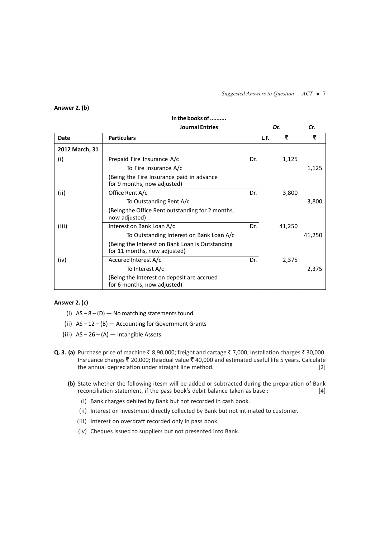*Suggested Answers to Question*  $-$  *ACT*  $\triangle$  7

### **Answer 2. (b)**

|                | <b>Journal Entries</b>                                                                           |     |      | Dr.    | Cr.    |
|----------------|--------------------------------------------------------------------------------------------------|-----|------|--------|--------|
| Date           | <b>Particulars</b>                                                                               |     | L.F. | ₹      | ₹      |
| 2012 March, 31 |                                                                                                  |     |      |        |        |
| (i)            | Prepaid Fire Insurance A/c<br>To Fire Insurance A/c<br>(Being the Fire Insurance paid in advance | Dr. |      | 1,125  | 1,125  |
| (ii)           | for 9 months, now adjusted)<br>Office Rent A/c<br>To Outstanding Rent A/c                        | Dr. |      | 3,800  | 3,800  |
|                | (Being the Office Rent outstanding for 2 months,<br>now adjusted)                                |     |      |        |        |
| (iii)          | Interest on Bank Loan A/c<br>To Outstanding Interest on Bank Loan A/c                            | Dr. |      | 41,250 | 41,250 |
|                | (Being the Interest on Bank Loan is Outstanding<br>for 11 months, now adjusted)                  |     |      |        |        |
| (iv)           | Accured Interest A/c<br>To Interest A/c                                                          | Dr. |      | 2,375  | 2,375  |
|                | (Being the Interest on deposit are accrued<br>for 6 months, now adjusted)                        |     |      |        |        |

## **In the books of ..........**

### **Answer 2. (c)**

- (i)  $AS 8 (D)$  No matching statements found
- (ii)  $AS 12 (B)$  Accounting for Government Grants
- (iii)  $AS 26 (A)$  Intangible Assets
- **Q. 3. (a)** Purchase price of machine  $\bar{\tau}$  8,90,000; freight and cartage  $\bar{\tau}$  7,000; Installation charges  $\bar{\tau}$  30,000. Insruance charges ₹ 20,000; Residual value ₹ 40,000 and estimated useful life 5 years. Calculate the annual depreciation under straight line method. [2]
	- **(b)** State whether the following itesm will be added or subtracted during the preparation of Bank reconciliation statement, if the pass book's debit balance taken as base : [4]
		- (i) Bank charges debited by Bank but not recorded in cash book.
		- (ii) Interest on investment directly collected by Bank but not intimated to customer.
		- (iii) Interest on overdraft recorded only in pass book.
		- (iv) Cheques issued to suppliers but not presented into Bank.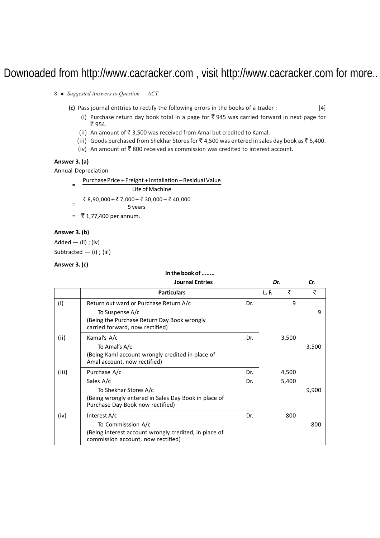- 8 *Suggested Answers to Question ACT*
	- **(c)** Pass journal enttries to rectify the following errors in the books of a trader : [4]
		- (i) Purchase return day book total in a page for  $\overline{z}$  945 was carried forward in next page for ₹ 954.
		- (ii) An amount of  $\bar{\bar{\xi}}$  3.500 was received from Amal but credited to Kamal.
		- (iii) Goods purchased from Shekhar Stores for  $\bar{\mathfrak{C}}$  4,500 was entered in sales day book as  $\bar{\mathfrak{C}}$  5,400.
		- (iv) An amount of  $\bar{z}$  800 received as commission was credited to interest account.

### **Answer 3. (a)**

Annual Depreciation

 $=$   $\frac{1}{2}$   $\frac{1}{2}$   $\frac{1}{2}$   $\frac{1}{2}$   $\frac{1}{2}$   $\frac{1}{2}$   $\frac{1}{2}$   $\frac{1}{2}$   $\frac{1}{2}$   $\frac{1}{2}$   $\frac{1}{2}$   $\frac{1}{2}$   $\frac{1}{2}$   $\frac{1}{2}$   $\frac{1}{2}$   $\frac{1}{2}$   $\frac{1}{2}$   $\frac{1}{2}$   $\frac{1}{2}$   $\frac{1}{2}$   $\frac{1}{2}$   $\frac{1}{2$ PurchasePrice +Freight +Installation −Residual Value

$$
= \frac{2 \cdot 8,90,000 + 2 \cdot 7,000 + 2 \cdot 30,000 - 2 \cdot 40,000}{5 \text{ years}}
$$

 $= 71,77,400$  per annum.

### **Answer 3. (b)**

 $Added$  — (ii) ; (iv) Subtracted  $-$  (i) ; (iii)

### **Answer 3. (c)**

#### **In the book of ........**

|       | <b>Journal Entries</b>                                                                      |     |       | Dr.   | Cr.   |
|-------|---------------------------------------------------------------------------------------------|-----|-------|-------|-------|
|       | <b>Particulars</b>                                                                          |     | L. F. | ₹     | ₹     |
| (i)   | Return out ward or Purchase Return A/c                                                      | Dr. |       | 9     |       |
|       | To Suspense A/c                                                                             |     |       |       | 9     |
|       | (Being the Purchase Return Day Book wrongly<br>carried forward, now rectified)              |     |       |       |       |
| (ii)  | Kamal's A/c                                                                                 | Dr. |       | 3,500 |       |
|       | To Amal's A/c                                                                               |     |       |       | 3,500 |
|       | (Being Kaml account wrongly credited in place of<br>Amal account, now rectified)            |     |       |       |       |
| (iii) | Purchase A/c                                                                                | Dr. |       | 4,500 |       |
|       | Sales A/c                                                                                   | Dr. |       | 5,400 |       |
|       | To Shekhar Stores A/c                                                                       |     |       |       | 9,900 |
|       | (Being wrongly entered in Sales Day Book in place of<br>Purchase Day Book now rectified)    |     |       |       |       |
| (iv)  | Interest A/c                                                                                | Dr. |       | 800   |       |
|       | To Commisssion A/c                                                                          |     |       |       | 800   |
|       | (Being interest account wrongly credited, in place of<br>commission account, now rectified) |     |       |       |       |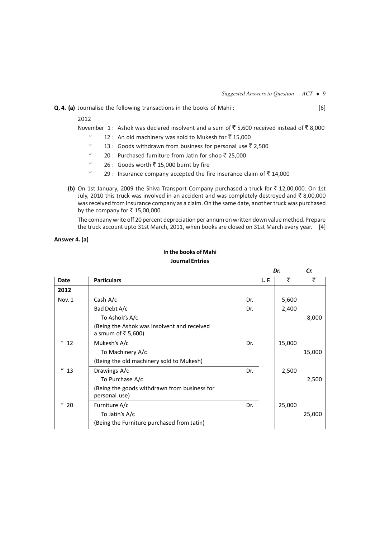*Dr. Cr.*

### **Q. 4. (a)** Journalise the following transactions in the books of Mahi : [6]

### 2012

November 1: Ashok was declared insolvent and a sum of  $\bar{z}$  5,600 received instead of  $\bar{z}$  8,000

- " 12 : An old machinery was sold to Mukesh for  $\bar{z}$  15,000
- $"$  13 : Goods withdrawn from business for personal use  $\bar{z}$  2,500
- " 20 : Purchased furniture from Jatin for shop  $\bar{z}$  25,000
- $"$  26 : Goods worth  $\overline{\mathfrak{k}}$  15,000 burnt by fire
- $"$  29 : Insurance company accepted the fire insurance claim of  $\bar{z}$  14,000
- **(b)** On 1st January, 2009 the Shiva Transport Company purchased a truck for  $\bar{\tau}$  12,00,000. On 1st July, 2010 this truck was involved in an accident and was completely destroyed and  $\bar{z}$  8,00,000 was received from Insurance company as a claim. On the same date, another truck was purchased by the company for  $\overline{\mathfrak{c}}$  15,00,000.

The company write off 20 percent depreciation per annum on written down value method. Prepare the truck account upto 31st March, 2011, when books are closed on 31st March every year. [4]

#### **Answer 4. (a)**

### **In the books of Mahi Journal Entries**

| Date                 | <b>Particulars</b>                                                |     | L. F. | ₹      | ₹      |
|----------------------|-------------------------------------------------------------------|-----|-------|--------|--------|
| 2012                 |                                                                   |     |       |        |        |
| Nov. 1               | Cash $A/c$                                                        | Dr. |       | 5,600  |        |
|                      | Bad Debt A/c                                                      | Dr. |       | 2,400  |        |
|                      | To Ashok's A/c                                                    |     |       |        | 8,000  |
|                      | (Being the Ashok was insolvent and received<br>a smum of ₹ 5,600) |     |       |        |        |
| $^{\prime\prime}$ 12 | Mukesh's A/c                                                      | Dr. |       | 15,000 |        |
|                      | To Machinery A/c                                                  |     |       |        | 15,000 |
|                      | (Being the old machinery sold to Mukesh)                          |     |       |        |        |
| "13                  | Drawings A/c                                                      | Dr. |       | 2,500  |        |
|                      | To Purchase A/c                                                   |     |       |        | 2,500  |
|                      | (Being the goods withdrawn from business for<br>personal use)     |     |       |        |        |
| "<br>20              | Furniture A/c                                                     | Dr. |       | 25,000 |        |
|                      | To Jatin's A/c                                                    |     |       |        | 25,000 |
|                      | (Being the Furniture purchased from Jatin)                        |     |       |        |        |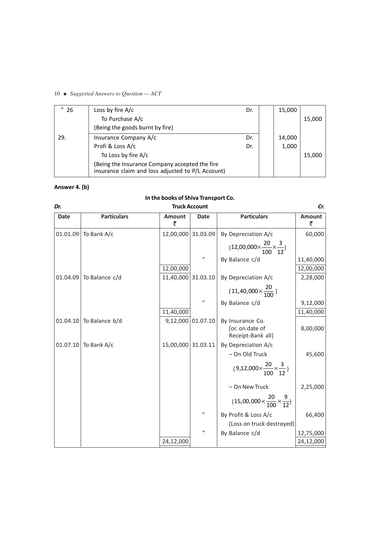### 10 *Suggested Answers to Question — ACT*

| "26 | Loss by fire $A/c$                                                                                  | Dr. | 15,000 |        |
|-----|-----------------------------------------------------------------------------------------------------|-----|--------|--------|
|     | To Purchase A/c                                                                                     |     |        | 15,000 |
|     | (Being the goods burnt by fire)                                                                     |     |        |        |
| 29. | Insurance Company A/c                                                                               | Dr. | 14,000 |        |
|     | Profi & Loss A/c                                                                                    | Dr. | 1,000  |        |
|     | To Loss by fire A/c                                                                                 |     |        | 15,000 |
|     | (Being the Insurance Company accepted the fire<br>insurance claim and loss adjusted to P/L Account) |     |        |        |

### **Answer 4. (b)**

### **In the books of Shiva Transport Co.** *Dr.* **Truck Account** *Cr.* **Date Particulars Amount Date Particulars Amount**  $\bar{\mathbf{x}}$  |  $\bar{\mathbf{x}}$ 01.01.09 To Bank A/c  $12,00,000$  31.03.09 By Depreciation A/c 60,000  $(12,00,000\times\frac{20}{100}\times\frac{3}{12})$  $12,00,000 \times \frac{20}{100} \times \frac{3}{12}$  $"$  By Balance c/d  $11,40,000$ 12,00,000 12,00,000 12,00,000 01.04.09 To Balance c/d  $11,40,000$  31.03.10 By Depreciation A/c 2,28,000  $(11,40,000 \times \frac{20}{100})$  $"$  By Balance c/d 9,12,000 11,40,000 11,40,000 01.04.10 To Balance b/d  $9,12,000$  01.07.10 By Insurance Co. [or. on date of 8,00,000 Receipt-Bank all] 01.07.10 To Bank A/c  $|15,00,000|31.03.11|$  By Depreciation A/c  $-$  On Old Truck  $\vert$  45,600  $(9,12,000\times\frac{20}{100}\times\frac{3}{12})$  $9,12,000\times\frac{20}{100}\times\frac{3}{12}$  $-$  On New Truck 2,25,000  $(15,00,000\times\frac{20}{100}\times\frac{9}{12})$  $"$  By Profit & Loss A/c  $\begin{array}{|c|c|c|} \hline \end{array}$  66,400 (Loss on truck destroyed)

 $"$  By Balance c/d  $12,75,000$ 

24,12,000 24,12,000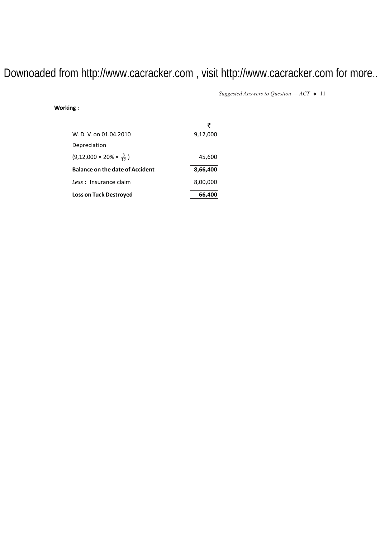*Suggested Answers to Question*  $-$  *ACT*  $\triangleleft$  11

### **Working :**

| <b>Loss on Tuck Destroyed</b>                | 66,400   |
|----------------------------------------------|----------|
| Less: Insurance claim                        | 8,00,000 |
| <b>Balance on the date of Accident</b>       | 8,66,400 |
| $(9,12,000 \times 20\% \times \frac{3}{12})$ | 45,600   |
| Depreciation                                 |          |
| W. D. V. on 01.04.2010                       | 9,12,000 |
|                                              | ₹        |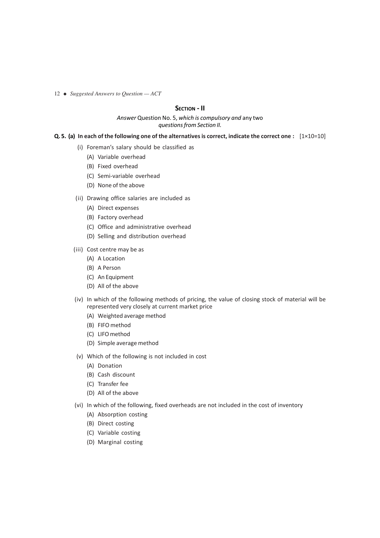12 *Suggested Answers to Question — ACT*

### **SECTION - II**

### *Answer* Question No. 5, *which is compulsory and* any two *questions from Section II.*

### **Q. 5. (a) In each of the following one of the alternatives is correct, indicate the correct one :** [1×10=10]

- (i) Foreman's salary should be classified as
	- (A) Variable overhead
	- (B) Fixed overhead
	- (C) Semi-variable overhead
	- (D) None of the above
- (ii) Drawing office salaries are included as
	- (A) Direct expenses
	- (B) Factory overhead
	- (C) Office and administrative overhead
	- (D) Selling and distribution overhead
- (iii) Cost centre may be as
	- (A) A Location
	- (B) A Person
	- (C) An Equipment
	- (D) All of the above
- (iv) In which of the following methods of pricing, the value of closing stock of material will be represented very closely at current market price
	- (A) Weighted average method
	- (B) FIFO method
	- (C) LIFO method
	- (D) Simple average method
- (v) Which of the following is not included in cost
	- (A) Donation
	- (B) Cash discount
	- (C) Transfer fee
	- (D) All of the above
- (vi) In which of the following, fixed overheads are not included in the cost of inventory
	- (A) Absorption costing
	- (B) Direct costing
	- (C) Variable costing
	- (D) Marginal costing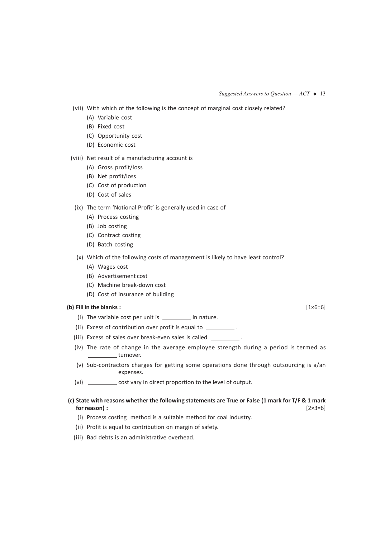- (vii) With which of the following is the concept of marginal cost closely related?
	- (A) Variable cost
	- (B) Fixed cost
	- (C) Opportunity cost
	- (D) Economic cost
- (viii) Net result of a manufacturing account is
	- (A) Gross profit/loss
	- (B) Net profit/loss
	- (C) Cost of production
	- (D) Cost of sales
- (ix) The term 'Notional Profit' is generally used in case of
	- (A) Process costing
	- (B) Job costing
	- (C) Contract costing
	- (D) Batch costing
- (x) Which of the following costs of management is likely to have least control?
	- (A) Wages cost
	- (B) Advertisement cost
	- (C) Machine break-down cost
	- (D) Cost of insurance of building

### **(b) Fill in the blanks :** [1×6=6]

- (i) The variable cost per unit is  $\frac{1}{\sqrt{1-\frac{1}{n}}}$  in nature.
- (ii) Excess of contribution over profit is equal to \_\_\_\_\_\_\_\_\_\_.
- (iii) Excess of sales over break-even sales is called \_\_\_\_\_\_\_\_\_\_.
- (iv) The rate of change in the average employee strength during a period is termed as Lurnover.
- (v) Sub-contractors charges for getting some operations done through outsourcing is a/an expenses.
- (vi) \_\_\_\_\_\_\_\_\_\_\_ cost vary in direct proportion to the level of output.

### **(c) State with reasons whether the following statements are True or False (1 mark for T/F & 1 mark for reason) :** [2×3=6]

- (i) Process costing method is a suitable method for coal industry.
- (ii) Profit is equal to contribution on margin of safety.
- (iii) Bad debts is an administrative overhead.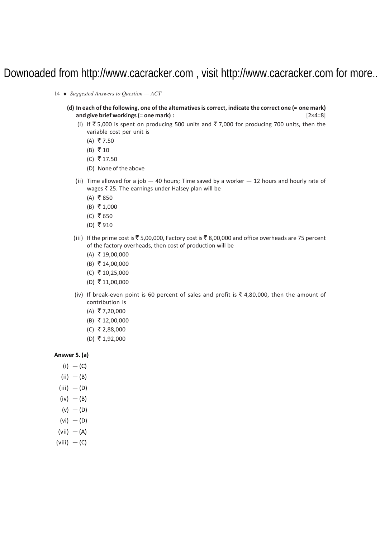- 14 *Suggested Answers to Question ACT*
	- **(d) In each of the following, one of the alternatives is correct, indicate the correct one (**= **one mark) and give brief workings (**= **one mark) :** [2×4=8]
		- (i) If  $\bar{\tau}$  5,000 is spent on producing 500 units and  $\bar{\tau}$  7,000 for producing 700 units, then the variable cost per unit is
			- $(A)$  ₹7.50
			- $(B) \sqrt[3]{} 10$
			- (C) ₹ 17.50
			- (D) None of the above
		- (ii) Time allowed for a job  $-40$  hours; Time saved by a worker  $-12$  hours and hourly rate of wages  $\bar{z}$  25. The earnings under Halsey plan will be
			- $(A)$  ₹850
			- $(B)$  ₹ 1,000
			- $(C)$  ₹ 650
			- $(D)$  ₹ 910
		- (iii) If the prime cost is  $\bar{\xi}$  5,00,000, Factory cost is  $\bar{\xi}$  8,00,000 and office overheads are 75 percent of the factory overheads, then cost of production will be
			- $(A)$  ₹ 19,00,000
			- $(B) \space \bar{f}$  14,00,000
			- $(C)$  ₹ 10,25,000
			- $(D)$  ₹ 11,00,000
		- (iv) If break-even point is 60 percent of sales and profit is  $\bar{\tau}$  4,80,000, then the amount of contribution is
			- $(A)$  ₹ 7,20,000
			- $(B)$  ₹ 12,00,000
			- $(C)$  ₹ 2,88,000
			- $(D)$  ₹ 1,92,000

### **Answer 5. (a)**

- $(i) (C)$
- $(ii)$   $(B)$
- $(iii) (D)$
- $(iv)$   $(B)$
- 
- $(v) (D)$
- $(vi) (D)$
- $(vii)$   $(A)$
- $(viii) (C)$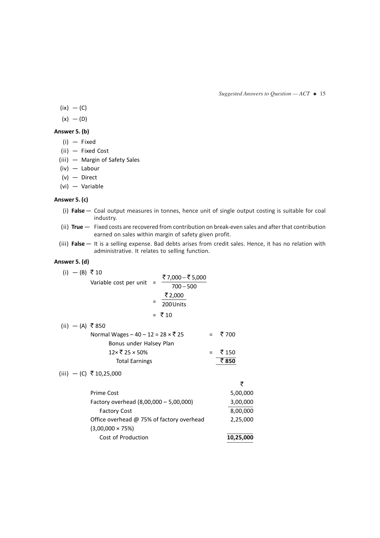*Suggested Answers to Question*  $-$  *ACT*  $\triangleleft$  15

 $(ix) - (C)$ 

 $(x) - (D)$ 

### **Answer 5. (b)**

- (i) Fixed
- (ii) Fixed Cost
- (iii) Margin of Safety Sales
- (iv) Labour
- (v) Direct
- (vi) Variable

### **Answer 5. (c)**

- (i) **False** Coal output measures in tonnes, hence unit of single output costing is suitable for coal industry.
- (ii) **True** Fixed costs are recovered from contribution on break-even sales and after that contribution earned on sales within margin of safety given profit.
- (iii) **False** It is a selling expense. Bad debts arises from credit sales. Hence, it has no relation with administrative. It relates to selling function.

### **Answer 5. (d)**

| (i) − (B) ₹ 10  | Variable cost per unit                    | ₹7,000 – ₹5,000<br>$700 - 500$<br>₹2,000<br>200 Units<br>$=$ ₹ 10 |        |
|-----------------|-------------------------------------------|-------------------------------------------------------------------|--------|
| (ii) — (A) ₹850 |                                           |                                                                   |        |
|                 | Normal Wages – 40 – 12 = 28 $\times$ ₹ 25 |                                                                   | = ₹700 |
|                 | Bonus under Halsey Plan                   |                                                                   |        |

| $12 \times \overline{5}$ 25 × 50% | $=$ ₹150 |
|-----------------------------------|----------|
| <b>Total Earnings</b>             | ₹850     |
|                                   |          |

### (iii) — (C) ₹ 10,25,000

| Prime Cost                                | 5,00,000  |
|-------------------------------------------|-----------|
| Factory overhead (8,00,000 - 5,00,000)    | 3,00,000  |
| <b>Factory Cost</b>                       | 8,00,000  |
| Office overhead @ 75% of factory overhead | 2,25,000  |
| $(3,00,000 \times 75%)$                   |           |
| Cost of Production                        | 10,25,000 |

 $\rightarrow$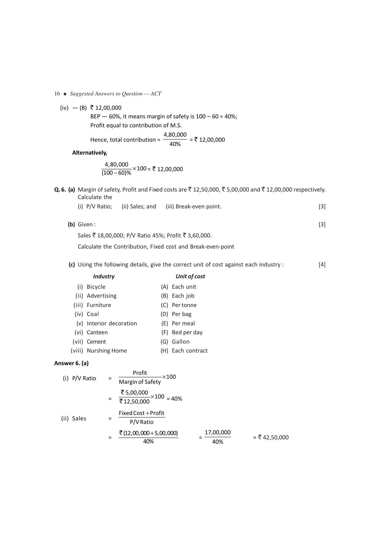### 16 *Suggested Answers to Question — ACT*

(iv) — (B) ₹ 12,00,000

BEP  $-$  60%, it means margin of safety is  $100 - 60 = 40$ %; Profit equal to contribution of M.S.

Hence, total contribution =  $\frac{4,80,000}{40\%}$  = ₹ 12,00,000

**Alternatively,**

$$
\frac{4,80,000}{(100-60)\%} \times 100 = ₹ 12,00,000
$$

- **Q. 6. (a)** Margin of safety, Profit and Fixed costs are ₹ 12,50,000, ₹ 5,00,000 and ₹ 12,00,000 respectively. Calculate the
	- (i) P/V Ratio; (ii) Sales; and (iii) Break-even point. [3]
	- **(b)** Given : [3]

Sales ₹ 18,00,000; P/V Ratio 45%; Profit ₹ 3,60,000.

Calculate the Contribution, Fixed cost and Break-even-point

**(c)** Using the following details, give the correct unit of cost against each industry : [4]

### *Industry Unit of cost*

- (i) Bicycle (A) Each unit (ii) Advertising (B) Each job
- (iii) Furniture (C) Per tonne
- (iv) Coal (D) Per bag
- (v) Interior decoration (E) Per meal
- (vi) Canteen (F) Bed per day
- 
- (vii) Cement (G) Gallon
- (viii) Nurshing Home (H) Each contract

#### **Answer 6. (a)**

| P/V Ratio<br>(i) | =   | Profit<br>$\times$ 100<br>Margin of Safety     |                  |               |
|------------------|-----|------------------------------------------------|------------------|---------------|
|                  |     | ₹ $5,00,000$ $\times$ 100 = 40%<br>₹12,50,000  |                  |               |
| (ii) Sales       |     | Fixed Cost + Profit<br>P/V Ratio               |                  |               |
|                  | $=$ | $\overline{\xi}$ (12,00,000 + 5,00,000)<br>40% | 17,00,000<br>40% | = ₹ 42,50,000 |
|                  |     |                                                |                  |               |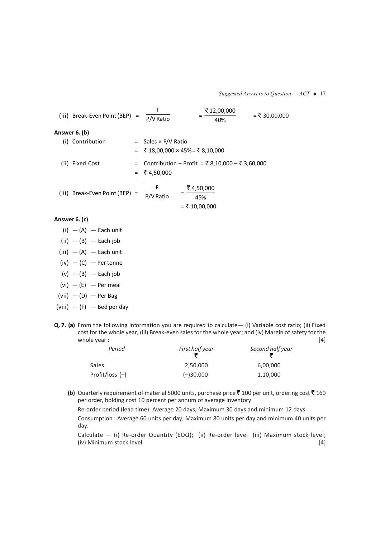*Suggested Answers to Question*  $-$  *ACT*  $\rightarrow$  17

| (iii) Break-Even Point (BEP)   | F<br>P/V Ratio               | ₹12,00,000<br>40%                               | $= ₹ 30,00,000$ |
|--------------------------------|------------------------------|-------------------------------------------------|-----------------|
| Answer 6. (b)                  |                              |                                                 |                 |
| (i) Contribution               | $=$ Sales $\times$ P/V Ratio | = ₹18,00,000 × 45% = ₹8,10,000                  |                 |
| (ii) Fixed Cost                | = ₹4,50,000                  | = Contribution – Profit = ₹8,10,000 – ₹3,60,000 |                 |
| (iii) Break-Even Point (BEP) = | P/V Ratio                    | $=\frac{3.50,000}{4}$<br>45%<br>= ₹ 10,00,000   |                 |
| Answer 6. (c)                  |                              |                                                 |                 |
| $(i)$ - $(A)$ - Each unit      |                              |                                                 |                 |
| $(ii)$ - $(B)$ - Each job      |                              |                                                 |                 |
| $(iii)$ - $(A)$ - Each unit    |                              |                                                 |                 |

- $(iv) (C)$  Per tonne
- $(v)$   $(B)$  Each job
- $(vi)$   $(E)$  Per meal
- $(vii)$  (D) Per Bag
- (viii)  $-$  (F)  $-$  Bed per day
- **Q. 7. (a)** From the following information you are required to calculate— (i) Variable cost ratio; (ii) Fixed cost for the whole year; (iii) Break-even sales for the whole year; and (iv) Margin of safety for the whole year : [4] [4]

| Period            | First half year | Second half year |
|-------------------|-----------------|------------------|
| Sales             | 2,50,000        | 6,00,000         |
| Profit/loss $(-)$ | $(-)30,000$     | 1,10,000         |

**(b)** Quarterly requirement of material 5000 units, purchase price  $\bar{\tau}$  100 per unit, ordering cost  $\bar{\tau}$  160 per order, holding cost 10 percent per annum of average inventory

Re-order period (lead time): Average 20 days; Maximum 30 days and minimum 12 days Consumption : Average 60 units per day; Maximum 80 units per day and minimum 40 units per day.

Calculate — (i) Re-order Quantity (EOQ); (ii) Re-order level (iii) Maximum stock level; (iv) Minimum stock level. [4]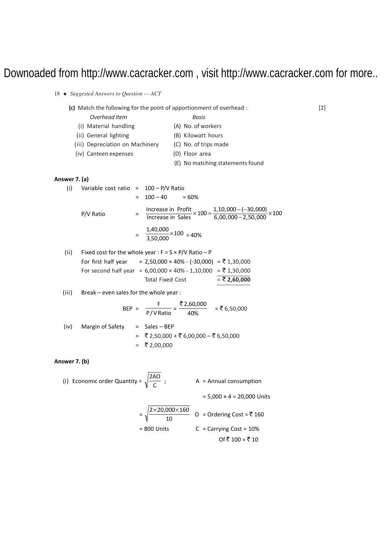|               | 18 $\bullet$ Suggested Answers to Question $-ACT$                                        |                                                                                                                                                                                                                                          |                   |
|---------------|------------------------------------------------------------------------------------------|------------------------------------------------------------------------------------------------------------------------------------------------------------------------------------------------------------------------------------------|-------------------|
|               | Overhead Item<br>(i) Material handling<br>(ii) General lighting<br>(iv) Canteen expenses | (c) Match the following for the point of apportionment of overhead :<br>Basis<br>(A) No. of workers<br>(B) Kilowatt hours<br>(iii) Depreciation on Machinery (C) No. of trips made<br>(D) Floor area<br>(E) No matching statements found | $\lceil 2 \rceil$ |
| Answer 7. (a) |                                                                                          |                                                                                                                                                                                                                                          |                   |
| (i)           | Variable cost ratio = $100 - P/V$ Ratio                                                  |                                                                                                                                                                                                                                          |                   |
|               | P/V Ratio                                                                                | $= 100 - 40 = 60\%$<br>$= \frac{\text{Increase in Profit}}{\text{Increase in Sales}} \times 100 = \frac{1,10,000 - (-30,000)}{6,00,000 - 2,50,000} \times 100$                                                                           |                   |
|               |                                                                                          | $= \frac{1,40,000}{3.50,000} \times 100 = 40\%$                                                                                                                                                                                          |                   |
| (ii)          |                                                                                          | Fixed cost for the whole year: $F = S \times P/V$ Ratio - P                                                                                                                                                                              |                   |
|               |                                                                                          | For first half year = 2,50,000 × 40% - (-30,000) = ₹ 1,30,000<br>For second half year = 6,00,000 × 40% - 1,10,000 = ₹ 1,30,000<br>$=\frac{1}{5}$ 2,60,000<br><b>Total Fixed Cost</b>                                                     |                   |
| (iii)         | Break - even sales for the whole year:                                                   |                                                                                                                                                                                                                                          |                   |
|               |                                                                                          | BEP = $\frac{F}{P/V \text{ Ratio}} = \frac{\overline{\xi} 2,60,000}{40\%}$ = ₹ 6,50,000                                                                                                                                                  |                   |
| (iv)          | Margin of Safety $=$ Sales - BEP                                                         | = ₹ 2,50,000 + ₹ 6,00,000 - ₹ 6,50,000<br>= ₹2,00,000                                                                                                                                                                                    |                   |
| Answer 7. (b) |                                                                                          |                                                                                                                                                                                                                                          |                   |
|               | (i) Economic order Quantity = $\sqrt{\frac{2AO}{C}}$ ;                                   | A = Annual consumption                                                                                                                                                                                                                   |                   |
|               |                                                                                          | $= 5,000 \times 4 = 20,000$ Units                                                                                                                                                                                                        |                   |
|               |                                                                                          | $=\sqrt{\frac{2 \times 20,000 \times 160}{10}}$ O = Ordering Cost = ₹ 160                                                                                                                                                                |                   |

 $= 800$  Units  $C = C$ arrying Cost = 10%

Of ₹ 100 = ₹ 10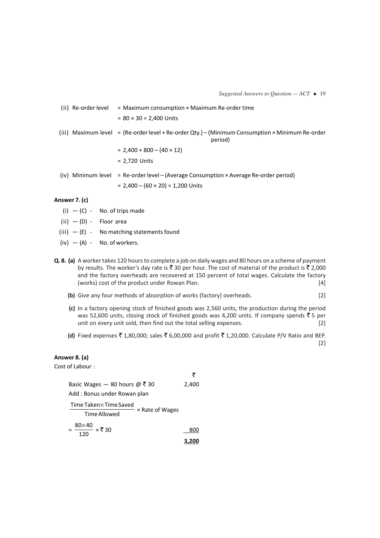*Suggested Answers to Question*  $-$  *ACT*  $\triangleleft$  19

| (ii) Re-order level | $=$ Maximum consumption $\times$ Maximum Re-order time                                                      |
|---------------------|-------------------------------------------------------------------------------------------------------------|
|                     | $= 80 \times 30 = 2.400$ Units                                                                              |
|                     | (iii) Maximum level = (Re-order level + Re-order Qty.) - (Minimum Consumption × Minimum Re-order<br>period) |
|                     | $= 2,400 + 800 - (40 \times 12)$                                                                            |
|                     | $= 2,720$ Units                                                                                             |
|                     | (iv) Minimum level = Re-order level – (Average Consumption $\times$ Average Re-order period)                |

 $= 2,400 - (60 \times 20) = 1,200$  Units

### **Answer 7. (c)**

- $(i)$   $(C)$  No. of trips made
- $(iii) (D) -$  Floor area
- (iii) (E) No matching statements found
- $(iv)$   $(A)$  No. of workers.
- **Q. 8. (a)** A worker takes 120 hours to complete a job on daily wages and 80 hours on a scheme of payment by results. The worker's day rate is  $\bar{\xi}$  30 per hour. The cost of material of the product is  $\bar{\xi}$  2,000 and the factory overheads are recovered at 150 percent of total wages. Calculate the factory (works) cost of the product under Rowan Plan. [4]
	- **(b)** Give any four methods of absorption of works (factory) overheads. [2]
	- **(c)** In a factory opening stock of finished goods was 2,560 units, the production during the period was 52,600 units, closing stock of finished goods was 4,200 units. If company spends  $\overline{\tau}$  5 per unit on every unit sold, then find out the total selling expenses. [2]
	- **(d)** Fixed expenses  $\bar{\bar{\tau}}$  1,80,000; sales  $\bar{\bar{\tau}}$  6,00,000 and profit  $\bar{\bar{\tau}}$  1,20,000. Calculate P/V Ratio and BEP.

₹

[2]

### **Answer 8. (a)**

Cost of Labour :

Basic Wages – 80 hours  $\omega \bar{\tau}$  30 2,400 Add : Bonus under Rowan plan TimeAllowed Time Taken× Time Saved<br>
Time Allswed × Rate of Wages  $=\frac{80\times40}{120}\times\sqrt{2}30$  800 **3,200**